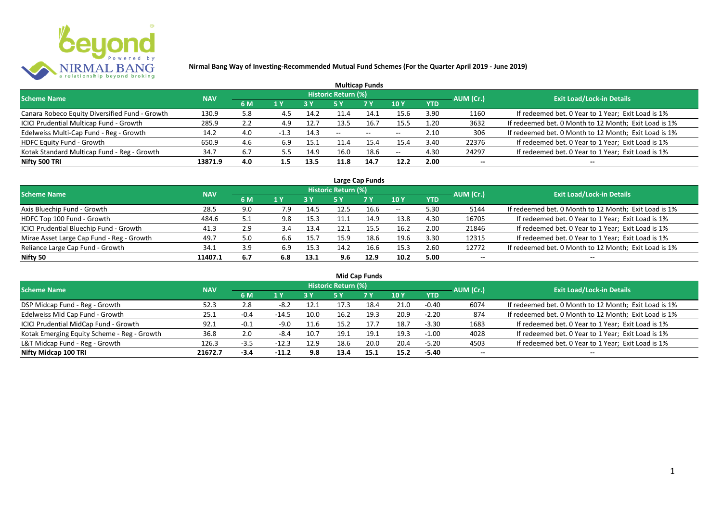

|                                                |            |     |        |            |                     | <b>Multicap Funds</b>    |                          |            |           |                                                       |
|------------------------------------------------|------------|-----|--------|------------|---------------------|--------------------------|--------------------------|------------|-----------|-------------------------------------------------------|
| <b>Scheme Name</b>                             | <b>NAV</b> |     |        |            | Historic Return (%) |                          |                          |            | AUM (Cr.) | <b>Exit Load/Lock-in Details</b>                      |
|                                                |            | 6 M | 1 Y    | <b>3 Y</b> |                     | <b>7Y</b>                | <b>10Y</b>               | <b>YTD</b> |           |                                                       |
| Canara Robeco Equity Diversified Fund - Growth | 130.9      | 5.8 |        | 14.2       | 11.4                | 14.1                     | 15.6                     | 3.90       | 1160      | If redeemed bet. 0 Year to 1 Year; Exit Load is 1%    |
| ICICI Prudential Multicap Fund - Growth        | 285.9      | 2.2 | 4.9    | 12.7       | 13.5                | 16.7                     | 15.5                     | 1.20       | 3632      | If redeemed bet. 0 Month to 12 Month; Exit Load is 1% |
| Edelweiss Multi-Cap Fund - Reg - Growth        | 14.2       | 4.0 | $-1.3$ | 14.3       | $- -$               | $\overline{\phantom{a}}$ | $\overline{\phantom{m}}$ | 2.10       | 306       | If redeemed bet. 0 Month to 12 Month; Exit Load is 1% |
| HDFC Equity Fund - Growth                      | 650.9      | 4.6 | 6.9    | 15.1       | 11.4                | 15.4                     | 15.4                     | 3.40       | 22376     | If redeemed bet. 0 Year to 1 Year; Exit Load is 1%    |
| Kotak Standard Multicap Fund - Reg - Growth    | 34.7       |     |        | 14.9       | 16.0                | 18.6                     | $-$                      | 4.30       | 24297     | If redeemed bet. 0 Year to 1 Year; Exit Load is 1%    |
| Nifty 500 TRI                                  | 13871.9    | 4.0 | 1.5    | 13.5       | 11.8                | 14.7                     | 12.2                     | 2.00       | $- -$     | --                                                    |

| Large Cap Funds                           |            |     |     |      |                            |           |       |            |           |                                                       |  |  |  |
|-------------------------------------------|------------|-----|-----|------|----------------------------|-----------|-------|------------|-----------|-------------------------------------------------------|--|--|--|
| <b>Scheme Name</b>                        | <b>NAV</b> |     |     |      | <b>Historic Return (%)</b> |           |       |            | AUM (Cr.) | <b>Exit Load/Lock-in Details</b>                      |  |  |  |
|                                           |            | 6 M | 1 Y | 3 Y  | 5 Y                        | <b>7Y</b> | 10Y   | <b>YTD</b> |           |                                                       |  |  |  |
| Axis Bluechip Fund - Growth               | 28.5       | 9.0 | 7.9 | 14.5 | 12.5                       | 16.6      | $- -$ | 5.30       | 5144      | If redeemed bet. 0 Month to 12 Month; Exit Load is 1% |  |  |  |
| HDFC Top 100 Fund - Growth                | 484.6      | 5.1 | 9.8 | 15.3 |                            | 14.9      | 13.8  | 4.30       | 16705     | If redeemed bet. 0 Year to 1 Year; Exit Load is 1%    |  |  |  |
| ICICI Prudential Bluechip Fund - Growth   | 41.3       | 2.9 | 3.4 | 13.4 | 12.1                       | 15.5      | 16.2  | 2.00       | 21846     | If redeemed bet. 0 Year to 1 Year; Exit Load is 1%    |  |  |  |
| Mirae Asset Large Cap Fund - Reg - Growth | 49.7       | 5.0 | 6.6 | 15.7 | 15.9                       | 18.6      | 19.6  | 3.30       | 12315     | If redeemed bet. 0 Year to 1 Year; Exit Load is 1%    |  |  |  |
| Reliance Large Cap Fund - Growth          | 34.1       | 3.9 | 6.9 | 15.3 | 14.2                       | 16.6      | 15.3  | 2.60       | 12772     | If redeemed bet. 0 Month to 12 Month; Exit Load is 1% |  |  |  |
| Nifty 50                                  | 11407.1    | 6.7 | 6.8 | 13.1 | 9.6                        | 12.9      | 10.2  | 5.00       | --        | $- -$                                                 |  |  |  |

| <b>Mid Cap Funds</b>                        |            |        |         |      |                            |      |      |            |                          |                                                       |  |  |  |
|---------------------------------------------|------------|--------|---------|------|----------------------------|------|------|------------|--------------------------|-------------------------------------------------------|--|--|--|
| <b>Scheme Name</b>                          | <b>NAV</b> |        |         |      | <b>Historic Return (%)</b> |      |      |            | AUM (Cr.)                | <b>Exit Load/Lock-in Details</b>                      |  |  |  |
|                                             |            | 6 M    | 1 Y     | 3 Y  | 5 Y                        | 7 Y  | 10 Y | <b>YTD</b> |                          |                                                       |  |  |  |
| DSP Midcap Fund - Reg - Growth              | 52.3       | 2.8    | -8.2    | 12.1 |                            | 18.4 | 21.0 | $-0.40$    | 6074                     | If redeemed bet. 0 Month to 12 Month; Exit Load is 1% |  |  |  |
| Edelweiss Mid Cap Fund - Growth             | 25.1       | $-0.4$ | $-14.5$ | 10.0 | 16.2                       | 19.3 | 20.9 | $-2.20$    | 874                      | If redeemed bet. 0 Month to 12 Month; Exit Load is 1% |  |  |  |
| ICICI Prudential MidCap Fund - Growth       | 92.1       | $-0.1$ | $-9.0$  | 11.6 | 15.2                       | 17.7 | 18.7 | $-3.30$    | 1683                     | If redeemed bet. 0 Year to 1 Year; Exit Load is 1%    |  |  |  |
| Kotak Emerging Equity Scheme - Reg - Growth | 36.8       | 2.0    | -8.4    | 10.7 | 19.1                       | 19.1 | 19.3 | $-1.00$    | 4028                     | If redeemed bet. 0 Year to 1 Year; Exit Load is 1%    |  |  |  |
| L&T Midcap Fund - Reg - Growth              | 126.3      | $-3.5$ | -12.3   | 12.9 | 18.6                       | 20.0 | 20.4 | $-5.20$    | 4503                     | If redeemed bet. 0 Year to 1 Year; Exit Load is 1%    |  |  |  |
| Nifty Midcap 100 TRI                        | 21672.7    | $-3.4$ | $-11.2$ | 9.8  | 13.4                       | 15.1 | 15.2 | -5.40      | $\overline{\phantom{a}}$ | --                                                    |  |  |  |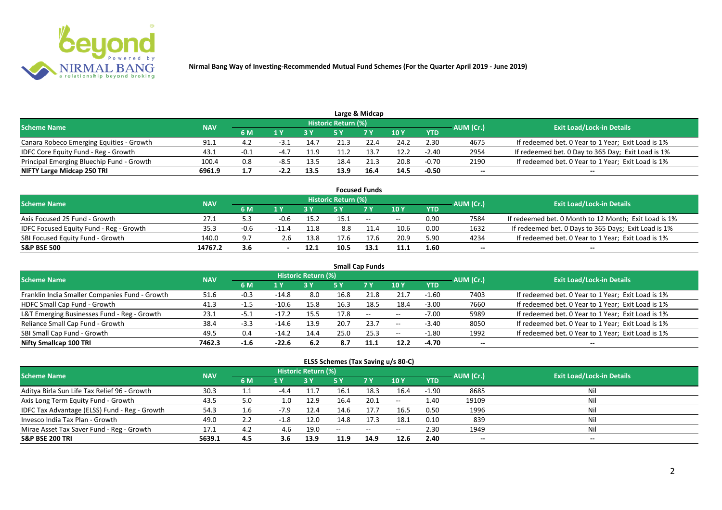

|                                           |            |      |      |      |                            | Large & Midcap |      |            |           |                                                    |
|-------------------------------------------|------------|------|------|------|----------------------------|----------------|------|------------|-----------|----------------------------------------------------|
| <b>Scheme Name</b>                        | <b>NAV</b> |      |      |      | <b>Historic Return (%)</b> |                |      |            | AUM (Cr.) | <b>Exit Load/Lock-in Details</b>                   |
|                                           |            | 6 M  |      |      |                            | <b>7 Y</b>     | 10 Y | <b>YTD</b> |           |                                                    |
| Canara Robeco Emerging Equities - Growth  | 91.1       | 4.2  | -3.1 | 14.7 | 21.3                       | 22.4           | 24.2 | 2.30       | 4675      | If redeemed bet. 0 Year to 1 Year; Exit Load is 1% |
| IDFC Core Equity Fund - Reg - Growth      | 43.1       | -0.1 | -4.7 | 11.9 | 11.2                       | 13.7           | 12.2 | $-2.40$    | 2954      | If redeemed bet. 0 Day to 365 Day; Exit Load is 1% |
| Principal Emerging Bluechip Fund - Growth | 100.4      | 0.8  | -8.5 | 13.5 | 18.4                       | 21.3           | 20.8 | $-0.70$    | 2190      | If redeemed bet. 0 Year to 1 Year; Exit Load is 1% |
| NIFTY Large Midcap 250 TRI                | 6961.9     |      |      | 13.5 | 13.9                       | 16.4           | 14.5 | $-0.50$    | --        | $- -$                                              |

|                                                |            |        |         |      |                     | <b>Focused Funds</b> |       |            |                  |                                                       |
|------------------------------------------------|------------|--------|---------|------|---------------------|----------------------|-------|------------|------------------|-------------------------------------------------------|
| <b>Scheme Name</b>                             | <b>NAV</b> |        |         |      | Historic Return (%) |                      |       |            | <b>AUM</b> (Cr.) | <b>Exit Load/Lock-in Details</b>                      |
|                                                |            | 6 M    | 1 V     |      |                     | 7 Y                  | 10Y   | <b>YTD</b> |                  |                                                       |
| Axis Focused 25 Fund - Growth                  | 27.1       |        |         | 15.2 | 15.1                | $\sim$               | $- -$ | 0.90       | 7584             | If redeemed bet. 0 Month to 12 Month; Exit Load is 1% |
| <b>IDFC Focused Equity Fund - Reg - Growth</b> | 35.3       | $-0.6$ | $-11.4$ | 11.8 | 8.8                 | 11.4                 | 10.6  | 0.00       | 1632             | If redeemed bet. 0 Days to 365 Days; Exit Load is 1%  |
| SBI Focused Equity Fund - Growth               | 140.0      | 9.7    | 2.6     | 13.8 | 17.6                | 17.6                 | 20.9  | 5.90       | 4234             | If redeemed bet. 0 Year to 1 Year; Exit Load is 1%    |
| <b>S&amp;P BSE 500</b>                         | 14767.2    | 3.6    |         | 12.1 | 10.5                | 13.1                 | 11.1  | 1.60       | --               | --                                                    |

| <b>Small Cap Funds</b>                         |            |        |         |                     |      |           |            |            |           |                                                    |  |  |  |
|------------------------------------------------|------------|--------|---------|---------------------|------|-----------|------------|------------|-----------|----------------------------------------------------|--|--|--|
| <b>Scheme Name</b>                             | <b>NAV</b> |        |         | Historic Return (%) |      |           |            |            | AUM (Cr.) | <b>Exit Load/Lock-in Details</b>                   |  |  |  |
|                                                |            | 6 M    | 1 Y     |                     | 5 Y  | <b>7Y</b> | 10Y        | <b>YTD</b> |           |                                                    |  |  |  |
| Franklin India Smaller Companies Fund - Growth | 51.6       | $-0.3$ | $-14.8$ | 8.0                 | 16.8 | 21.8      | 21.7       | $-1.60$    | 7403      | If redeemed bet. 0 Year to 1 Year; Exit Load is 1% |  |  |  |
| HDFC Small Cap Fund - Growth                   | 41.3       | $-1.5$ | $-10.6$ | 15.8                | 16.3 | 18.5      | 18.4       | $-3.00$    | 7660      | If redeemed bet. 0 Year to 1 Year; Exit Load is 1% |  |  |  |
| L&T Emerging Businesses Fund - Reg - Growth    | 23.1       | -5.1   | $-17.2$ | 15.5                | 17.8 | $\sim$    | $- -$      | $-7.00$    | 5989      | If redeemed bet. 0 Year to 1 Year; Exit Load is 1% |  |  |  |
| Reliance Small Cap Fund - Growth               | 38.4       | $-3.3$ | $-14.6$ | 13.9                | 20.7 | 23.7      | $\sim$ $-$ | $-3.40$    | 8050      | If redeemed bet. 0 Year to 1 Year; Exit Load is 1% |  |  |  |
| SBI Small Cap Fund - Growth                    | 49.5       | 0.4    | $-14.2$ | 14.4                | 25.0 | 25.3      | $- -$      | $-1.80$    | 1992      | If redeemed bet. 0 Year to 1 Year; Exit Load is 1% |  |  |  |
| Nifty Smallcap 100 TRI                         | 7462.3     | $-1.6$ | $-22.6$ | 6.2                 | 8.7  | 11.1      | 12.2       | -4.70      | $- -$     | --                                                 |  |  |  |

#### **ELSS Schemes (Tax Saving u/s 80-C)**

| <b>Scheme Name</b>                            | <b>NAV</b> |     |        | <b>Historic Return (%)</b> |      |           |                 |            | AUM (Cr.)                | <b>Exit Load/Lock-in Details</b> |
|-----------------------------------------------|------------|-----|--------|----------------------------|------|-----------|-----------------|------------|--------------------------|----------------------------------|
|                                               |            | 6 M | 1 Y    |                            | 5 Y  | <b>7Y</b> | 10 <sub>Y</sub> | <b>YTD</b> |                          |                                  |
| Aditya Birla Sun Life Tax Relief 96 - Growth  | 30.3       | 1.1 | $-4.4$ | 11.7                       | 16.1 | 18.3      | 16.4            | $-1.90$    | 8685                     | Nil                              |
| Axis Long Term Equity Fund - Growth           | 43.5       | 5.0 | 1.0    | 12.9                       | 16.4 | 20.1      | $- -$           | 1.40       | 19109                    | Nil                              |
| IDFC Tax Advantage (ELSS) Fund - Reg - Growth | 54.3       | 1.6 | $-7.9$ | 12.4                       | 14.6 | 17.7      | 16.5            | 0.50       | 1996                     | Nil                              |
| Invesco India Tax Plan - Growth               | 49.0       | 2.2 |        | 12.0                       | 14.8 | 17.3      | 18.1            | 0.10       | 839                      | Nil                              |
| Mirae Asset Tax Saver Fund - Reg - Growth     | 17.1       | 4.2 | 4.6    | 19.0                       | $-$  | $--$      | $- -$           | 2.30       | 1949                     | Nil                              |
| <b>S&amp;P BSE 200 TRI</b>                    | 5639.1     | 4.5 | 3.6    | 13.9                       | 11.9 | 14.9      | 12.6            | 2.40       | $\overline{\phantom{a}}$ | $- -$                            |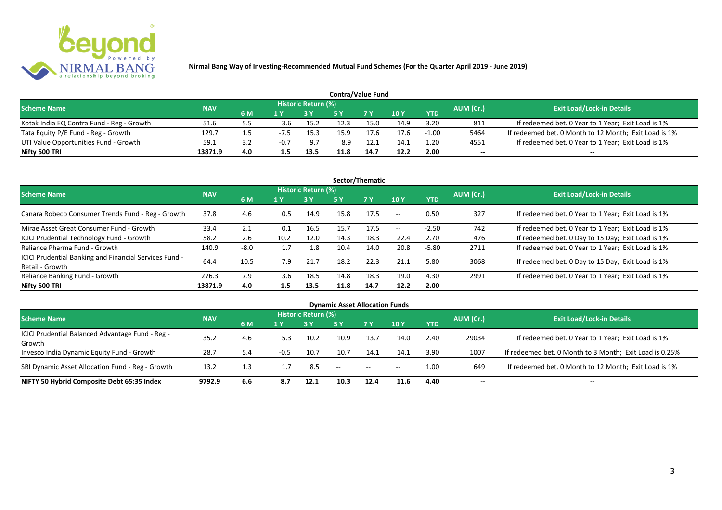

| <b>Contra/Value Fund</b>                  |            |     |      |                     |      |            |                 |            |           |                                                       |  |  |  |
|-------------------------------------------|------------|-----|------|---------------------|------|------------|-----------------|------------|-----------|-------------------------------------------------------|--|--|--|
| <b>Scheme Name</b>                        | <b>NAV</b> |     |      | Historic Return (%) |      |            |                 |            | AUM (Cr.) | <b>Exit Load/Lock-in Details</b>                      |  |  |  |
|                                           |            | 6 M | 1 Y  |                     |      | <b>7 Y</b> | 10 <sub>Y</sub> | <b>YTD</b> |           |                                                       |  |  |  |
| Kotak India EQ Contra Fund - Reg - Growth | 51.6       |     | 3.6  | 15.2                |      | 15.C       | 14.9            | 3.20       | 811       | If redeemed bet. 0 Year to 1 Year; Exit Load is 1%    |  |  |  |
| Tata Equity P/E Fund - Reg - Growth       | 129.7      |     | -7.5 | 15.3                | 15.9 | 17.6       | 17.6            | $-1.00$    | 5464      | If redeemed bet. 0 Month to 12 Month; Exit Load is 1% |  |  |  |
| UTI Value Opportunities Fund - Growth     | 59.1       |     |      | 9.7                 | 8.9  |            | 14.1            | 1.20       | 4551      | If redeemed bet. 0 Year to 1 Year; Exit Load is 1%    |  |  |  |
| Nifty 500 TRI                             | 13871.9    | 4.0 |      | 13.5                |      | 14.7       | 12.2            | 2.00       | $- -$     | $- -$                                                 |  |  |  |

| Sector/Thematic                                                           |            |        |      |                            |      |           |                          |            |           |                                                    |  |  |  |
|---------------------------------------------------------------------------|------------|--------|------|----------------------------|------|-----------|--------------------------|------------|-----------|----------------------------------------------------|--|--|--|
| <b>Scheme Name</b>                                                        | <b>NAV</b> |        |      | <b>Historic Return (%)</b> |      |           |                          |            | AUM (Cr.) | <b>Exit Load/Lock-in Details</b>                   |  |  |  |
|                                                                           |            | 6 M    | 1 Y  | <b>3 Y</b>                 | 5 Y  | <b>7Y</b> | <b>10Y</b>               | <b>YTD</b> |           |                                                    |  |  |  |
| Canara Robeco Consumer Trends Fund - Reg - Growth                         | 37.8       | 4.6    | 0.5  | 14.9                       | 15.8 | 17.5      | $\sim$ $\sim$            | 0.50       | 327       | If redeemed bet. 0 Year to 1 Year; Exit Load is 1% |  |  |  |
| Mirae Asset Great Consumer Fund - Growth                                  | 33.4       | 2.1    | 0.1  | 16.5                       | 15.7 | 17.5      | $\overline{\phantom{a}}$ | $-2.50$    | 742       | If redeemed bet. 0 Year to 1 Year; Exit Load is 1% |  |  |  |
| <b>ICICI Prudential Technology Fund - Growth</b>                          | 58.2       | 2.6    | 10.2 | 12.0                       | 14.3 | 18.3      | 22.4                     | 2.70       | 476       | If redeemed bet. 0 Day to 15 Day; Exit Load is 1%  |  |  |  |
| Reliance Pharma Fund - Growth                                             | 140.9      | $-8.0$ |      | 1.8                        | 10.4 | 14.0      | 20.8                     | $-5.80$    | 2711      | If redeemed bet. 0 Year to 1 Year; Exit Load is 1% |  |  |  |
| ICICI Prudential Banking and Financial Services Fund -<br>Retail - Growth | 64.4       | 10.5   | 7.9  | 21.7                       | 18.2 | 22.3      | 21.1                     | 5.80       | 3068      | If redeemed bet. 0 Day to 15 Day; Exit Load is 1%  |  |  |  |
| Reliance Banking Fund - Growth                                            | 276.3      | 7.9    | 3.6  | 18.5                       | 14.8 | 18.3      | 19.0                     | 4.30       | 2991      | If redeemed bet. 0 Year to 1 Year; Exit Load is 1% |  |  |  |
| Nifty 500 TRI                                                             | 13871.9    | 4.0    | 1.5  | 13.5                       | 11.8 | 14.7      | 12.2                     | 2.00       | $- -$     | $\overline{\phantom{a}}$                           |  |  |  |

| <b>Dynamic Asset Allocation Funds</b>            |            |     |     |                                                           |      |       |       |      |       |                                                         |  |  |  |
|--------------------------------------------------|------------|-----|-----|-----------------------------------------------------------|------|-------|-------|------|-------|---------------------------------------------------------|--|--|--|
| <b>Scheme Name</b>                               | <b>NAV</b> |     |     | <b>Historic Return (%)</b>                                |      |       |       |      |       | <b>Exit Load/Lock-in Details</b>                        |  |  |  |
|                                                  |            | 6 M | 1 Y | AUM (Cr.)<br><b>7Y</b><br><b>10Y</b><br><b>YTD</b><br>5 Y |      |       |       |      |       |                                                         |  |  |  |
| ICICI Prudential Balanced Advantage Fund - Reg - |            |     |     |                                                           |      |       |       |      |       |                                                         |  |  |  |
| Growth                                           | 35.2       | 4.6 | 5.3 | 10.2                                                      | 10.9 | 13.7  | 14.0  | 2.40 | 29034 | If redeemed bet. 0 Year to 1 Year; Exit Load is 1%      |  |  |  |
| Invesco India Dynamic Equity Fund - Growth       | 28.7       | 5.4 |     | 10.7                                                      | 10.7 | 14.1  | 14.1  | 3.90 | 1007  | If redeemed bet. 0 Month to 3 Month; Exit Load is 0.25% |  |  |  |
| SBI Dynamic Asset Allocation Fund - Reg - Growth | 13.2       | 1.3 |     | 8.5                                                       | $-$  | $- -$ | $- -$ | 1.00 | 649   | If redeemed bet. 0 Month to 12 Month; Exit Load is 1%   |  |  |  |
| NIFTY 50 Hybrid Composite Debt 65:35 Index       | 9792.9     | 6.6 | 8.7 | 12.1                                                      | 10.3 | 12.4  | 11.6  | 4.40 | --    | $- -$                                                   |  |  |  |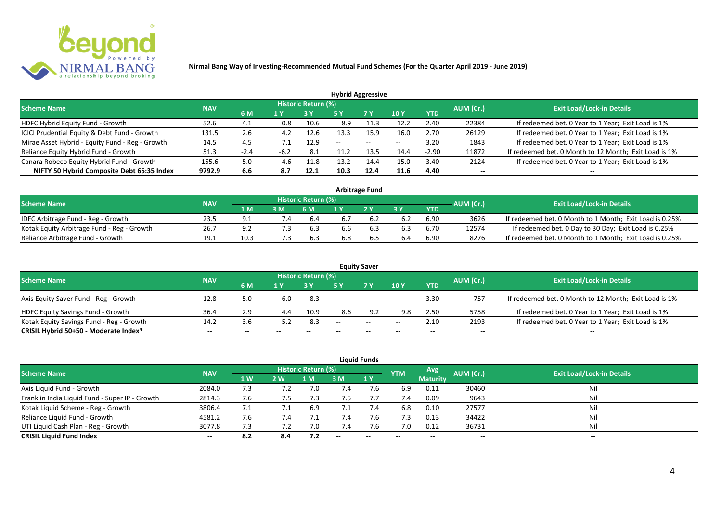

| <b>Hybrid Aggressive</b>                        |            |        |        |                     |      |           |             |            |                          |                                                       |  |  |
|-------------------------------------------------|------------|--------|--------|---------------------|------|-----------|-------------|------------|--------------------------|-------------------------------------------------------|--|--|
| <b>Scheme Name</b>                              | <b>NAV</b> |        |        | Historic Return (%) |      |           |             |            | AUM (Cr.)                | <b>Exit Load/Lock-in Details</b>                      |  |  |
|                                                 |            | 6 M    | '1 Y   |                     | 5 Y  | <b>7Y</b> | <b>10 Y</b> | <b>YTD</b> |                          |                                                       |  |  |
| HDFC Hybrid Equity Fund - Growth                | 52.6       | 4.1    | 0.8    | 10.6                | 8.9  | 1.:       | 12.2        | 2.40       | 22384                    | If redeemed bet. 0 Year to 1 Year; Exit Load is 1%    |  |  |
| ICICI Prudential Equity & Debt Fund - Growth    | 131.5      | 2.6    | 4.2    | 12.6                | 13.3 | 15.9      | 16.0        | 2.70       | 26129                    | If redeemed bet. 0 Year to 1 Year; Exit Load is 1%    |  |  |
| Mirae Asset Hybrid - Equity Fund - Reg - Growth | 14.5       | 4.5    |        | 12.9                | $-$  | $\sim$    | $- -$       | 3.20       | 1843                     | If redeemed bet. 0 Year to 1 Year; Exit Load is 1%    |  |  |
| Reliance Equity Hybrid Fund - Growth            | 51.3       | $-2.4$ | $-6.2$ | -8.1                |      | 13.5      | 14.4        | $-2.90$    | 11872                    | If redeemed bet. 0 Month to 12 Month; Exit Load is 1% |  |  |
| Canara Robeco Equity Hybrid Fund - Growth       | 155.6      | 5.0    | 4.6    | 11.8                | 13.2 | 14.4      | 15.0        | 3.40       | 2124                     | If redeemed bet. 0 Year to 1 Year; Exit Load is 1%    |  |  |
| NIFTY 50 Hybrid Composite Debt 65:35 Index      | 9792.9     | 6.6    | 8.7    | 12.1                | 10.3 | 12.4      | 11.6        | 4.40       | $\overline{\phantom{a}}$ | $- -$                                                 |  |  |
|                                                 |            |        |        |                     |      |           |             |            |                          |                                                       |  |  |

| <b>Arbitrage Fund</b>                      |            |                  |    |                     |     |     |     |            |           |                                                         |  |  |  |
|--------------------------------------------|------------|------------------|----|---------------------|-----|-----|-----|------------|-----------|---------------------------------------------------------|--|--|--|
| <b>Scheme Name</b>                         | <b>NAV</b> |                  |    | Historic Return (%) |     |     |     |            | AUM (Cr.) | <b>Exit Load/Lock-in Details</b>                        |  |  |  |
|                                            |            | $4\,$ M $\prime$ | 3M | 6 M                 |     | 2V  |     | <b>YTD</b> |           |                                                         |  |  |  |
| IDFC Arbitrage Fund - Reg - Growth         | 23.5       |                  |    | 6.4                 |     |     | 6.2 | 6.90       | 3626      | If redeemed bet. 0 Month to 1 Month; Exit Load is 0.25% |  |  |  |
| Kotak Equity Arbitrage Fund - Reg - Growth | 26.7       | 9.2              |    | 6.3                 | 6.6 | 6.3 | 6.3 | 6.70       | 12574     | If redeemed bet. 0 Day to 30 Day; Exit Load is 0.25%    |  |  |  |
| Reliance Arbitrage Fund - Growth           | 19.1       | 10.3             |    | 6.3                 | 6.8 | b.5 | 6.4 | 6.90       | 8276      | If redeemed bet. 0 Month to 1 Month; Exit Load is 0.25% |  |  |  |

|                                          |            |     |                          |                     |       | <b>Equity Saver</b>      |            |            |           |                                                       |
|------------------------------------------|------------|-----|--------------------------|---------------------|-------|--------------------------|------------|------------|-----------|-------------------------------------------------------|
| <b>Scheme Name</b>                       | <b>NAV</b> |     |                          | Historic Return (%) |       |                          |            |            | AUM (Cr.) | <b>Exit Load/Lock-in Details</b>                      |
|                                          |            | 6 M | 1 V                      |                     |       | 7 Y                      | <b>10Y</b> | <b>YTD</b> |           |                                                       |
| Axis Equity Saver Fund - Reg - Growth    | 12.8       | 5.0 | 6.0                      | 8.3                 | $- -$ | $\overline{\phantom{a}}$ | $- -$      | 3.30       | 757       | If redeemed bet. 0 Month to 12 Month; Exit Load is 1% |
| <b>HDFC Equity Savings Fund - Growth</b> | 36.4       | 2.9 |                          | 10.9                | 8.6   | ດາ                       | 9.8        | 2.50       | 5758      | If redeemed bet. 0 Year to 1 Year; Exit Load is 1%    |
| Kotak Equity Savings Fund - Reg - Growth | 14.2       | 3.6 | 5.2                      | 8.3                 | $- -$ | $  \,$                   | $- -$      | 2.10       | 2193      | If redeemed bet. 0 Year to 1 Year; Exit Load is 1%    |
| CRISIL Hybrid 50+50 - Moderate Index*    | $- -$      |     | $\overline{\phantom{a}}$ | $- -$               | $- -$ | $\overline{\phantom{a}}$ | --         | $- -$      | $- -$     | $- -$                                                 |

| <b>Liquid Funds</b>                            |            |           |     |                            |        |           |            |                 |           |                                  |  |  |  |
|------------------------------------------------|------------|-----------|-----|----------------------------|--------|-----------|------------|-----------------|-----------|----------------------------------|--|--|--|
| <b>Scheme Name</b>                             | <b>NAV</b> |           |     | <b>Historic Return (%)</b> |        |           | <b>YTM</b> | Avg             | AUM (Cr.) | <b>Exit Load/Lock-in Details</b> |  |  |  |
|                                                |            | <b>1W</b> | 2W  | 1 M                        | 3 M    | <b>1Y</b> |            | <b>Maturity</b> |           |                                  |  |  |  |
| Axis Liquid Fund - Growth                      | 2084.0     | 7.3       |     | 7.0                        | 7.4    | 7.6       | 6.9        | 0.11            | 30460     | Nil                              |  |  |  |
| Franklin India Liquid Fund - Super IP - Growth | 2814.3     | 7.6       | 7.5 | 7.3                        | 7.5    |           | 7.4        | 0.09            | 9643      | Nil                              |  |  |  |
| Kotak Liquid Scheme - Reg - Growth             | 3806.4     |           |     | 6.9                        |        | 7.4       | 6.8        | 0.10            | 27577     | Nil                              |  |  |  |
| Reliance Liquid Fund - Growth                  | 4581.2     | 7.6       | 7.4 |                            | 7.4    | 7.b       | 7.3        | 0.13            | 34422     | Nil                              |  |  |  |
| UTI Liquid Cash Plan - Reg - Growth            | 3077.8     | 7.3       |     | 7.0                        | 7.4    | 7.6       | 7.0        | 0.12            | 36731     | Nil                              |  |  |  |
| <b>CRISIL Liquid Fund Index</b>                | $- -$      | 8.2       | 8.4 | 7.2                        | $\sim$ | $-$       | $- -$      | $- -$           | $- -$     | $\sim$                           |  |  |  |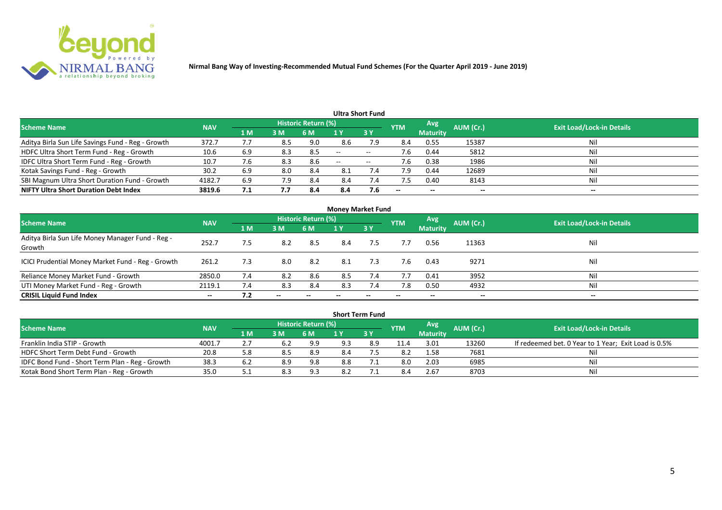

|                                                   |            |     |     |                            |       | Ultra Short Fund  |                          |                 |                          |                                  |
|---------------------------------------------------|------------|-----|-----|----------------------------|-------|-------------------|--------------------------|-----------------|--------------------------|----------------------------------|
| <b>Scheme Name</b>                                | <b>NAV</b> |     |     | <b>Historic Return (%)</b> |       |                   | <b>YTM</b>               | Avg             | AUM (Cr.)                | <b>Exit Load/Lock-in Details</b> |
|                                                   |            | 1 M | 3M  | 6 M                        |       | 3Y                |                          | <b>Maturity</b> |                          |                                  |
| Aditya Birla Sun Life Savings Fund - Reg - Growth | 372.7      | 7.7 | 8.5 | 9.0                        | 8.6   | 7.9               | 8.4                      | 0.55            | 15387                    | Nil                              |
| HDFC Ultra Short Term Fund - Reg - Growth         | 10.6       | 6.9 | 8.3 | 8.5                        | $-$   | $- -$             |                          | 0.44            | 5812                     | Nil                              |
| IDFC Ultra Short Term Fund - Reg - Growth         | 10.7       | 6./ | 8.3 | 8.6                        | $- -$ | $\hspace{0.05cm}$ | 7.6                      | 0.38            | 1986                     | Nil                              |
| Kotak Savings Fund - Reg - Growth                 | 30.2       | 6.9 | 8.0 | 8.4                        | 8.1   | 7.4               | 7.9                      | 0.44            | 12689                    | Nil                              |
| SBI Magnum Ultra Short Duration Fund - Growth     | 4182.7     | 6.9 | 7.9 | 8.4                        | 8.4   | 7.4               |                          | 0.40            | 8143                     | Nil                              |
| <b>NIFTY Ultra Short Duration Debt Index</b>      | 3819.6     | 7.1 | 7.7 | 8.4                        | 8.4   | 7.6               | $\overline{\phantom{a}}$ | $- -$           | $\overline{\phantom{a}}$ | $\overline{\phantom{a}}$         |

|                                                            |            |     |                          |                     | <b>Money Market Fund</b> |           |            |                 |                          |                                  |
|------------------------------------------------------------|------------|-----|--------------------------|---------------------|--------------------------|-----------|------------|-----------------|--------------------------|----------------------------------|
| <b>Scheme Name</b>                                         | <b>NAV</b> |     |                          | Historic Return (%) |                          |           | <b>YTM</b> | <b>Avg</b>      | AUM (Cr.)                | <b>Exit Load/Lock-in Details</b> |
|                                                            |            | 1 M | 3M                       | 6 M                 | 1 Y                      | <b>3Y</b> |            | <b>Maturity</b> |                          |                                  |
| Aditya Birla Sun Life Money Manager Fund - Reg -<br>Growth | 252.7      | 7.5 | 8.2                      | 8.5                 | 8.4                      | 7.5       | 7.7        | 0.56            | 11363                    | Nil                              |
| ICICI Prudential Money Market Fund - Reg - Growth          | 261.2      | 7.3 | 8.0                      | 8.2                 | 8.1                      | 7.3       | 7.6        | 0.43            | 9271                     | Nil                              |
| Reliance Money Market Fund - Growth                        | 2850.0     | 7.4 | 8.2                      | 8.6                 | 8.5                      | 7.4       | 7.7        | 0.41            | 3952                     | Nil                              |
| UTI Money Market Fund - Reg - Growth                       | 2119.1     | 7.4 | 8.3                      | 8.4                 | 8.3                      |           | 7.8        | 0.50            | 4932                     | Nil                              |
| <b>CRISIL Liquid Fund Index</b>                            | $- -$      | 7.2 | $\overline{\phantom{a}}$ |                     |                          | --        |            | $- -$           | $\overline{\phantom{a}}$ | $\hspace{0.05cm} \cdots$         |

|                                                 |            |       |     |                            |     | <b>Short Term Fund</b> |            |                 |           |                                                      |
|-------------------------------------------------|------------|-------|-----|----------------------------|-----|------------------------|------------|-----------------|-----------|------------------------------------------------------|
| <b>Scheme Name</b>                              | <b>NAV</b> |       |     | <b>Historic Return (%)</b> |     |                        | <b>YTM</b> | <b>Avg</b>      | AUM (Cr.) | <b>Exit Load/Lock-in Details</b>                     |
|                                                 |            | 4 MZ  | 3M  | '6 M                       |     | 73 Y                   |            | <b>Maturity</b> |           |                                                      |
| Franklin India STIP - Growth                    | 4001.7     |       | 6.2 | 9.9                        | 9.3 | 8.9                    | 11.4       | 3.01            | 13260     | If redeemed bet. 0 Year to 1 Year; Exit Load is 0.5% |
| HDFC Short Term Debt Fund - Growth              | 20.8       | 5.8   | 8.5 | 8.9                        | 8.4 |                        | 8.2        | 1.58            | 7681      | Ni                                                   |
| IDFC Bond Fund - Short Term Plan - Reg - Growth | 38.3       | 6.2   | 8.9 | 9.8                        | 8.8 |                        | 8.0        | 2.03            | 6985      | Nil                                                  |
| Kotak Bond Short Term Plan - Reg - Growth       | 35.0       | ـ . ـ | 8.3 | 9.3                        |     |                        |            | 2.67            | 8703      | Nil                                                  |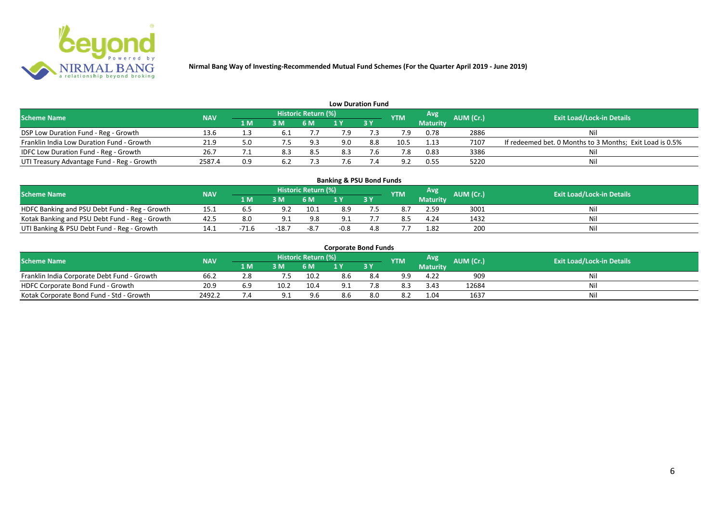

| <b>Low Duration Fund</b>                     |            |     |     |                     |     |           |            |                 |           |                                                          |  |  |  |  |
|----------------------------------------------|------------|-----|-----|---------------------|-----|-----------|------------|-----------------|-----------|----------------------------------------------------------|--|--|--|--|
| <b>Scheme Name</b>                           | <b>NAV</b> |     |     | Historic Return (%) |     |           | <b>YTM</b> | Avg             | AUM (Cr.) | <b>Exit Load/Lock-in Details</b>                         |  |  |  |  |
|                                              |            | 1 M | 3M  | <b>6 M</b>          |     | <b>3Y</b> |            | <b>Maturity</b> |           |                                                          |  |  |  |  |
| DSP Low Duration Fund - Reg - Growth         | 13.6       | ⊥.≾ |     |                     | 7.9 |           |            | 0.78            | 2886      | Nil                                                      |  |  |  |  |
| Franklin India Low Duration Fund - Growth    | 21.9       |     | 7.5 | 9.3                 | 9.0 | 8.8       | 10.5       | 1.13            | 7107      | If redeemed bet. 0 Months to 3 Months; Exit Load is 0.5% |  |  |  |  |
| <b>IDFC Low Duration Fund - Reg - Growth</b> | 26.7       |     | 8.3 | 8.5                 | 8.3 |           |            | 0.83            | 3386      | Nil                                                      |  |  |  |  |
| UTI Treasury Advantage Fund - Reg - Growth   | 2587.4     | 0.9 | 6.2 |                     | '.b |           | ാ          | 0.55            | 5220      | Nil                                                      |  |  |  |  |

# **Banking & PSU Bond Funds**

| <b>Scheme Name</b>                             | <b>NAV</b> |       |        | Historic Return (%) |                |     | <b>YTM</b> | Avg             | AUM (Cr.) | <b>Exit Load/Lock-in Details</b> |
|------------------------------------------------|------------|-------|--------|---------------------|----------------|-----|------------|-----------------|-----------|----------------------------------|
|                                                |            | 1 M / | 3 M    | 6 M                 | $\blacksquare$ |     |            | <b>Maturity</b> |           |                                  |
| HDFC Banking and PSU Debt Fund - Reg - Growth  | ⊥J.⊥       |       |        | 10.1                | 8.9            |     |            | 2.59            | 3001      |                                  |
| Kotak Banking and PSU Debt Fund - Reg - Growth | 42.5       |       |        | 9.8                 |                |     |            | 4.24            | 1432      |                                  |
| UTI Banking & PSU Debt Fund - Reg - Growth     | 14.1       | ٬ ۰   | $-18.$ | $-8.7$              | $-0.8$         | 4.8 |            | 1.82            | 200       |                                  |

#### **Corporate Bond Funds**

| <b>Scheme Name</b>                          | <b>NAV</b> |      |      | Historic Return (%) |     | <b>YTM</b> | Avg             | <b>AUM (Cr.)</b> | <b>Exit Load/Lock-in Details</b> |
|---------------------------------------------|------------|------|------|---------------------|-----|------------|-----------------|------------------|----------------------------------|
|                                             |            | 1 M' | 3 M  |                     | 3Y  |            | <b>Maturity</b> |                  |                                  |
| Franklin India Corporate Debt Fund - Growth | 66.2       | 8.2  |      | 10.2                | 6.4 | 9.9        | 4.22            | 909              | Nil                              |
| HDFC Corporate Bond Fund - Growth           | 20.9       | 6.9  | 10.2 | 10.4                |     | 8.3        | 3.43            | 12684            | Nil                              |
| Kotak Corporate Bond Fund - Std - Growth    | 2492.2     |      |      | 9.6                 | 3.U | 8.z        | 1.04            | 1637             | Nil                              |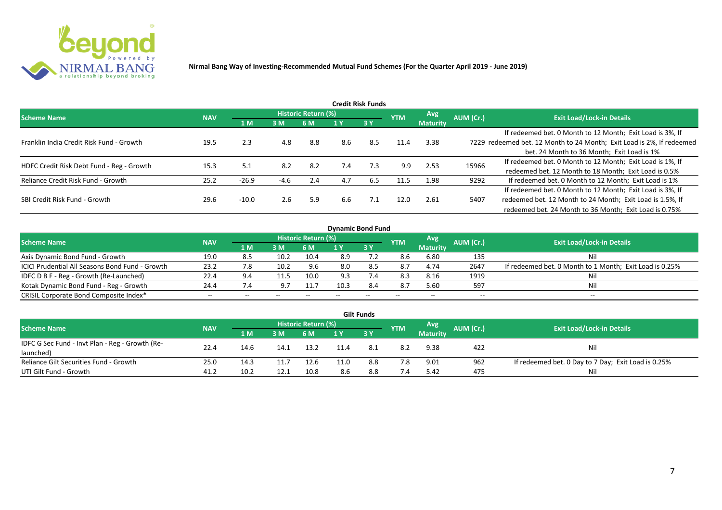

|                                           |            |         |               |                     |     | Credit Risk Funds |            |                 |           |                                                                       |
|-------------------------------------------|------------|---------|---------------|---------------------|-----|-------------------|------------|-----------------|-----------|-----------------------------------------------------------------------|
| <b>Scheme Name</b>                        | <b>NAV</b> |         |               | Historic Return (%) |     |                   | <b>YTM</b> | <b>Avg</b>      | AUM (Cr.) | <b>Exit Load/Lock-in Details</b>                                      |
|                                           |            | 1 M     | 3M            | 6 M                 |     | <b>3Y</b>         |            | <b>Maturity</b> |           |                                                                       |
|                                           |            |         |               |                     |     |                   |            |                 |           | If redeemed bet. 0 Month to 12 Month; Exit Load is 3%, If             |
| Franklin India Credit Risk Fund - Growth  | 19.5       | 2.3     | 4.8           | 8.8                 | 8.6 | 8.5               | 11.4       | 3.38            |           | 7229 redeemed bet. 12 Month to 24 Month; Exit Load is 2%, If redeemed |
|                                           |            |         |               |                     |     |                   |            |                 |           | bet. 24 Month to 36 Month; Exit Load is 1%                            |
| HDFC Credit Risk Debt Fund - Reg - Growth | 15.3       | 5.1     | 8.2           | 8.2                 | 7.4 | 7.3               | 9.9        | 2.53            | 15966     | If redeemed bet. 0 Month to 12 Month; Exit Load is 1%, If             |
|                                           |            |         |               |                     |     |                   |            |                 |           | redeemed bet. 12 Month to 18 Month; Exit Load is 0.5%                 |
| Reliance Credit Risk Fund - Growth        | 25.2       | $-26.9$ | $-4.6$        | 2.4                 | 4.7 | 6.5               | 11.5       | 1.98            | 9292      | If redeemed bet. 0 Month to 12 Month; Exit Load is 1%                 |
|                                           |            |         |               |                     |     |                   |            |                 |           | If redeemed bet. 0 Month to 12 Month; Exit Load is 3%, If             |
| SBI Credit Risk Fund - Growth             | 29.6       | $-10.0$ | $2.6^{\circ}$ | 5.9                 | 6.6 | 7.1               | 12.0       | 2.61            | 5407      | redeemed bet. 12 Month to 24 Month; Exit Load is 1.5%, If             |
|                                           |            |         |               |                     |     |                   |            |                 |           | redeemed bet. 24 Month to 36 Month; Exit Load is 0.75%                |

| <b>Dynamic Bond Fund</b>                               |            |     |       |                            |      |       |            |                 |           |                                                         |  |  |  |  |
|--------------------------------------------------------|------------|-----|-------|----------------------------|------|-------|------------|-----------------|-----------|---------------------------------------------------------|--|--|--|--|
| <b>Scheme Name</b>                                     | <b>NAV</b> |     |       | <b>Historic Return (%)</b> |      |       | <b>YTM</b> | Avg             | AUM (Cr.) | <b>Exit Load/Lock-in Details</b>                        |  |  |  |  |
|                                                        |            | 1 M | 3M    | 6 M                        |      | 73 Y  |            | <b>Maturity</b> |           |                                                         |  |  |  |  |
| Axis Dynamic Bond Fund - Growth                        | 19.0       | 8.5 | 10.2  | 10.4                       | 8.9  |       | 8.6        | 6.80            | 135       | Nil                                                     |  |  |  |  |
| <b>ICICI Prudential All Seasons Bond Fund - Growth</b> | 23.2       | 7.8 | 10.2  | 9.6                        | 8.0  | 8.5   | 8.7        | 4.74            | 2647      | If redeemed bet. 0 Month to 1 Month; Exit Load is 0.25% |  |  |  |  |
| IDFC D B F - Reg - Growth (Re-Launched)                | 22.4       | 9.4 |       | 10.0                       | 9.3  |       | 8.3        | 8.16            | 1919      | Nil                                                     |  |  |  |  |
| Kotak Dynamic Bond Fund - Reg - Growth                 | 24.4       | 7.4 |       |                            | 10.3 | 8.4   | 8.7        | 5.60            | 597       | Nil                                                     |  |  |  |  |
| CRISIL Corporate Bond Composite Index*                 | $- -$      | --  | $- -$ | --                         |      | $- -$ | $-$        | --              | --        | $- -$                                                   |  |  |  |  |

|                                                 |            |                                                 |      |      |      | <b>Gilt Funds</b> |     |                 |           |                                                     |
|-------------------------------------------------|------------|-------------------------------------------------|------|------|------|-------------------|-----|-----------------|-----------|-----------------------------------------------------|
| <b>Scheme Name</b>                              | <b>NAV</b> | Historic Return (%)<br><b>Avg</b><br><b>YTM</b> |      |      |      |                   |     |                 | AUM (Cr.) | <b>Exit Load/Lock-in Details</b>                    |
|                                                 |            | 1 M                                             | 3M   | 6 M  |      | $-3V$             |     | <b>Maturity</b> |           |                                                     |
| IDFC G Sec Fund - Invt Plan - Reg - Growth (Re- | 22.4       | 14.6                                            | 14.1 | 13.2 | 11.4 |                   | 8.2 | 9.38            | 422       | Nil                                                 |
| launched)                                       |            |                                                 |      |      |      |                   |     |                 |           |                                                     |
| Reliance Gilt Securities Fund - Growth          | 25.0       | 14.3                                            |      | 12.6 |      | 8.8               | 7.8 | 9.01            | 962       | If redeemed bet. 0 Day to 7 Day; Exit Load is 0.25% |
| UTI Gilt Fund - Growth                          | 41.2       | 10.2                                            |      | 10.8 | 8.6  | 8.8               |     | 5.42            | 475       | Nil                                                 |